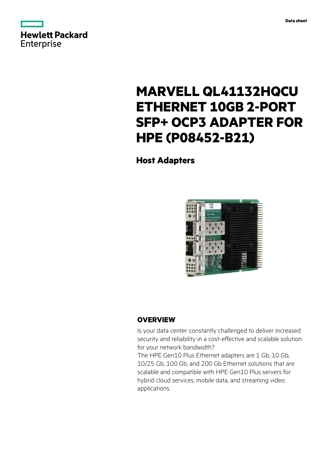



# **MARVELL QL41132HQCU ETHERNET 10GB 2-PORT SFP+ OCP3 ADAPTER FOR HPE (P08452-B21)**

**Host Adapters**



# **OVERVIEW**

Is your data center constantly challenged to deliver increased security and reliability in a cost-effective and scalable solution for your network bandwidth?

The HPE Gen10 Plus Ethernet adapters are 1 Gb, 10 Gb, 10/25 Gb, 100 Gb, and 200 Gb Ethernet solutions that are scalable and compatible with HPE Gen10 Plus servers for hybrid cloud services, mobile data, and streaming video applications.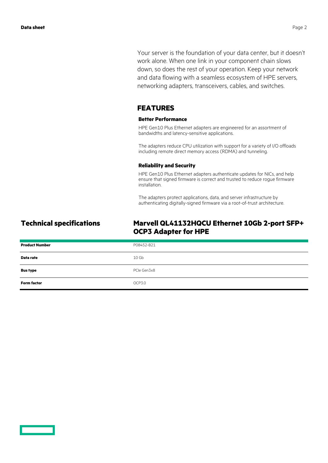Your server is the foundation of your data center, but it doesn't work alone. When one link in your component chain slows down, so does the rest of your operation. Keep your network and data flowing with a seamless ecosystem of HPE servers, networking adapters, transceivers, cables, and switches.

## **FEATURES**

#### **Better Performance**

HPE Gen10 Plus Ethernet adapters are engineered for an assortment of bandwidths and latency-sensitive applications.

The adapters reduce CPU utilization with support for a variety of I/O offloads including remote direct memory access (RDMA) and tunneling.

#### **Reliability and Security**

HPE Gen10 Plus Ethernet adapters authenticate updates for NICs, and help ensure that signed firmware is correct and trusted to reduce rogue firmware installation.

The adapters protect applications, data, and server infrastructure by authenticating digitally-signed firmware via a root-of-trust architecture.

# **Technical specifications Marvell QL41132HQCU Ethernet 10Gb 2-port SFP+ OCP3 Adapter for HPE**

| <b>Product Number</b> | P08452-B21  |
|-----------------------|-------------|
| Data rate             | 10 Gb       |
| <b>Bus type</b>       | PCIe Gen3x8 |
| <b>Form factor</b>    | OCP3.0      |